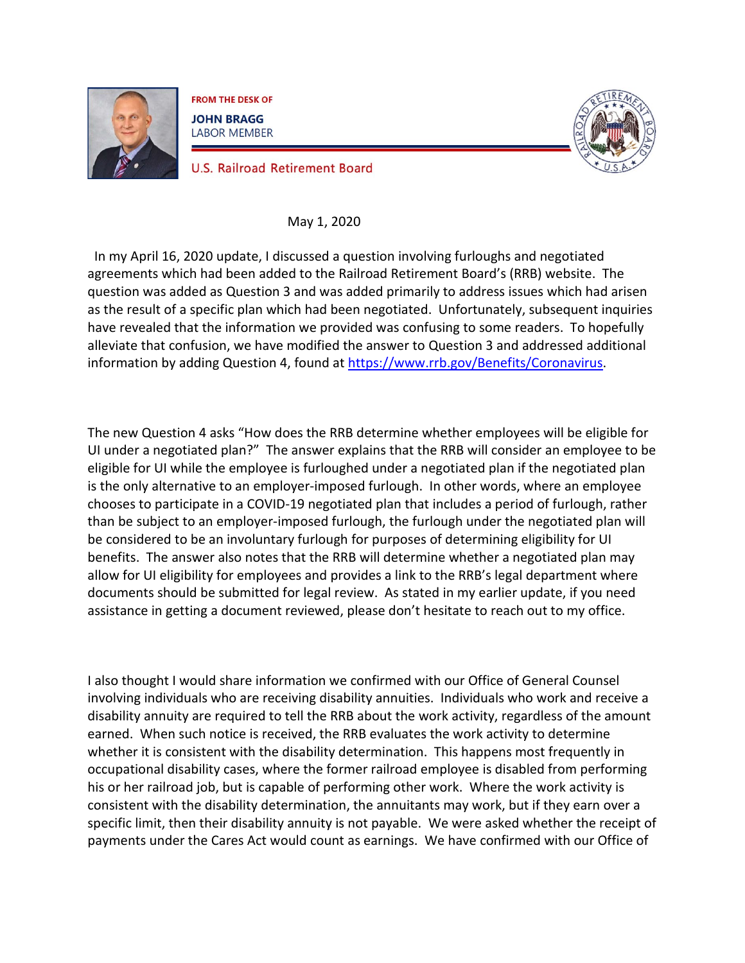

**FROM THE DESK OF JOHN BRAGG LABOR MEMBER** 



**U.S. Railroad Retirement Board** 

## May 1, 2020

In my April 16, 2020 update, I discussed a question involving furloughs and negotiated agreements which had been added to the Railroad Retirement Board's (RRB) website. The question was added as Question 3 and was added primarily to address issues which had arisen as the result of a specific plan which had been negotiated. Unfortunately, subsequent inquiries have revealed that the information we provided was confusing to some readers. To hopefully alleviate that confusion, we have modified the answer to Question 3 and addressed additional information by adding Question 4, found at [https://www.rrb.gov/Benefits/Coronavirus.](https://www.rrb.gov/Benefits/Coronavirus)

The new Question 4 asks "How does the RRB determine whether employees will be eligible for UI under a negotiated plan?" The answer explains that the RRB will consider an employee to be eligible for UI while the employee is furloughed under a negotiated plan if the negotiated plan is the only alternative to an employer-imposed furlough. In other words, where an employee chooses to participate in a COVID-19 negotiated plan that includes a period of furlough, rather than be subject to an employer-imposed furlough, the furlough under the negotiated plan will be considered to be an involuntary furlough for purposes of determining eligibility for UI benefits. The answer also notes that the RRB will determine whether a negotiated plan may allow for UI eligibility for employees and provides a link to the RRB's legal department where documents should be submitted for legal review. As stated in my earlier update, if you need assistance in getting a document reviewed, please don't hesitate to reach out to my office.

I also thought I would share information we confirmed with our Office of General Counsel involving individuals who are receiving disability annuities. Individuals who work and receive a disability annuity are required to tell the RRB about the work activity, regardless of the amount earned. When such notice is received, the RRB evaluates the work activity to determine whether it is consistent with the disability determination. This happens most frequently in occupational disability cases, where the former railroad employee is disabled from performing his or her railroad job, but is capable of performing other work. Where the work activity is consistent with the disability determination, the annuitants may work, but if they earn over a specific limit, then their disability annuity is not payable. We were asked whether the receipt of payments under the Cares Act would count as earnings. We have confirmed with our Office of